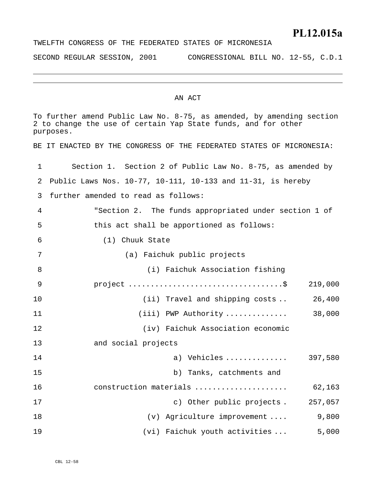### **PL12.015a**

SECOND REGULAR SESSION, 2001 CONGRESSIONAL BILL NO. 12-55, C.D.1

#### AN ACT

| To further amend Public Law No. 8-75, as amended, by amending section<br>2 to change the use of certain Yap State funds, and for other<br>purposes. |                                                                      |  |  |  |  |
|-----------------------------------------------------------------------------------------------------------------------------------------------------|----------------------------------------------------------------------|--|--|--|--|
|                                                                                                                                                     | BE IT ENACTED BY THE CONGRESS OF THE FEDERATED STATES OF MICRONESIA: |  |  |  |  |
| 1                                                                                                                                                   | Section 1. Section 2 of Public Law No. 8-75, as amended by           |  |  |  |  |
| 2                                                                                                                                                   | Public Laws Nos. 10-77, 10-111, 10-133 and 11-31, is hereby          |  |  |  |  |
| 3                                                                                                                                                   | further amended to read as follows:                                  |  |  |  |  |
| 4                                                                                                                                                   | "Section 2. The funds appropriated under section 1 of                |  |  |  |  |
| 5                                                                                                                                                   | this act shall be apportioned as follows:                            |  |  |  |  |
| 6                                                                                                                                                   | (1) Chuuk State                                                      |  |  |  |  |
| 7                                                                                                                                                   | (a) Faichuk public projects                                          |  |  |  |  |
| 8                                                                                                                                                   | (i) Faichuk Association fishing                                      |  |  |  |  |
| 9                                                                                                                                                   | 219,000                                                              |  |  |  |  |
| 10                                                                                                                                                  | 26,400<br>(ii) Travel and shipping costs                             |  |  |  |  |
| 11                                                                                                                                                  | $(iii)$ PWP Authority<br>38,000                                      |  |  |  |  |
| 12                                                                                                                                                  | (iv) Faichuk Association economic                                    |  |  |  |  |
| 13                                                                                                                                                  | and social projects                                                  |  |  |  |  |
| 14                                                                                                                                                  | a) Vehicles  397,580                                                 |  |  |  |  |
| 15                                                                                                                                                  | b) Tanks, catchments and                                             |  |  |  |  |
| 16                                                                                                                                                  | 62,163<br>construction materials                                     |  |  |  |  |
| 17                                                                                                                                                  | c) Other public projects.<br>257,057                                 |  |  |  |  |
| 18                                                                                                                                                  | (v) Agriculture improvement<br>9,800                                 |  |  |  |  |
| 19                                                                                                                                                  | Faichuk youth activities<br>5,000<br>(vi)                            |  |  |  |  |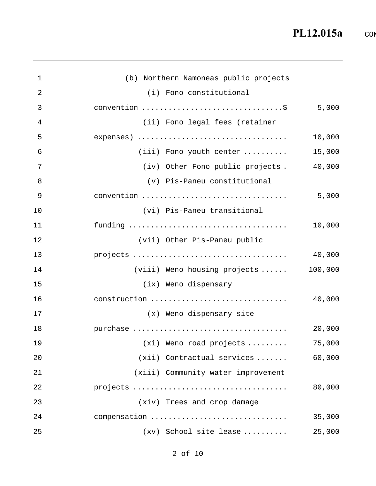| 1              | (b) Northern Namoneas public projects            |         |
|----------------|--------------------------------------------------|---------|
| $\overline{2}$ | (i) Fono constitutional                          |         |
| 3              | convention \$                                    | 5,000   |
| 4              | (ii) Fono legal fees (retainer                   |         |
| 5              |                                                  | 10,000  |
| 6              | $(iii)$ Fono youth center $\ldots \ldots \ldots$ | 15,000  |
| 7              | (iv) Other Fono public projects.                 | 40,000  |
| 8              | (v) Pis-Paneu constitutional                     |         |
| 9              | convention                                       | 5,000   |
| 10             | (vi) Pis-Paneu transitional                      |         |
| 11             |                                                  | 10,000  |
| 12             | (vii) Other Pis-Paneu public                     |         |
| 13             |                                                  | 40,000  |
| 14             | (viii) Weno housing projects                     | 100,000 |
| 15             | (ix) Weno dispensary                             |         |
| 16             | construction                                     | 40,000  |
| 17             | (x) Weno dispensary site                         |         |
| 18             |                                                  | 20,000  |
| 19             | $(xi)$ Weno road projects $\ldots \ldots \ldots$ | 75,000  |
| 20             | $(xii)$ Contractual services                     | 60,000  |
| 21             | (xiii) Community water improvement               |         |
| 22             |                                                  | 80,000  |
| 23             | (xiv) Trees and crop damage                      |         |
| 24             | compensation                                     | 35,000  |
| 25             | $(xv)$ School site lease                         | 25,000  |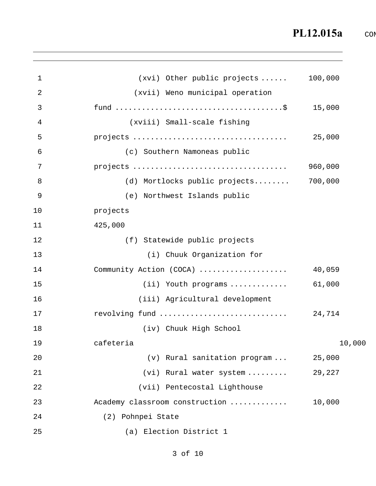```
1 
 2 
 3 
 4 
 5 
 6 
 7 
 8 
 9 
10 
11 
12 
13 
14 
15 
16 
17 
18 
19 
20 
21 
22 
23 
24 
25 
                       (xvi) Other public projects ...... 100,000 
                      (xvii) Weno municipal operation 
             fund ......................................$ 15,000 
                      (xviii) Small-scale fishing 
             projects ................................... 25,000 
                    (c) Southern Namoneas public 
             projects ................................... 960,000 
                    (d) Mortlocks public projects........ 700,000 
                    (e) Northwest Islands public 
             projects 
             425,000 
                    (f) Statewide public projects 
                         (i) Chuuk Organization for 
             Community Action (COCA) .................... 40,059 
                         (ii) Youth programs ............. 61,000 
                        (iii) Agricultural development 
             revolving fund ............................. 24,714 
                        (iv) Chuuk High School 
             cafeteria 10,000
                         (v) Rural sanitation program ... 25,000 
                        (vi) Rural water system ......... 29,227 
                       (vii) Pentecostal Lighthouse 
             Academy classroom construction ............. 10,000 
                (2) Pohnpei State 
                    (a) Election District 1
```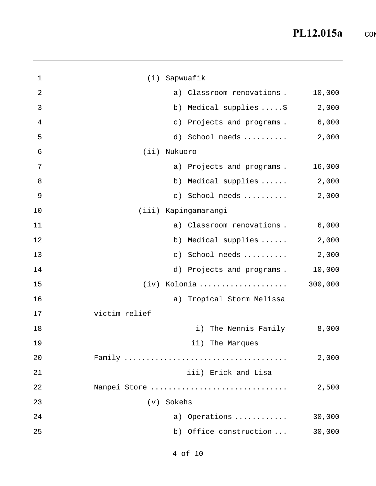| 1  |               | (i) Sapwuafik |                           |         |
|----|---------------|---------------|---------------------------|---------|
| 2  |               |               | a) Classroom renovations. | 10,000  |
| 3  |               |               | b) Medical supplies \$    | 2,000   |
| 4  |               | $\circ$ )     | Projects and programs.    | 6,000   |
| 5  |               |               | d) School needs           | 2,000   |
| 6  | (iii)         | Nukuoro       |                           |         |
| 7  |               |               | a) Projects and programs. | 16,000  |
| 8  |               |               | b) Medical supplies       | 2,000   |
| 9  |               |               | c) School needs           | 2,000   |
| 10 |               |               | (iii) Kapingamarangi      |         |
| 11 |               |               | a) Classroom renovations. | 6,000   |
| 12 |               |               | b) Medical supplies       | 2,000   |
| 13 |               |               | c) School needs           | 2,000   |
| 14 |               |               | d) Projects and programs. | 10,000  |
| 15 |               |               | (iv) Kolonia              | 300,000 |
| 16 |               |               | a) Tropical Storm Melissa |         |
| 17 | victim relief |               |                           |         |
| 18 |               |               | The Nennis Family<br>i)   | 8,000   |
| 19 |               |               | ii) The Marques           |         |
| 20 |               |               |                           | 2,000   |
| 21 |               |               | iii) Erick and Lisa       |         |
| 22 |               |               | Nanpei Store              | 2,500   |
| 23 |               | (v) Sokehs    |                           |         |
| 24 |               |               | a) Operations             | 30,000  |
| 25 |               |               | b) Office construction    | 30,000  |
|    |               |               |                           |         |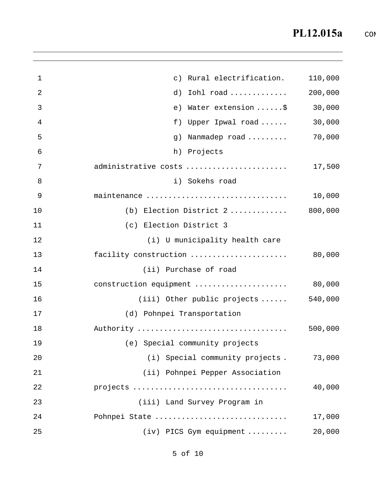| 1  | c) Rural electrification.                | 110,000 |
|----|------------------------------------------|---------|
| 2  | Iohl road<br>d)                          | 200,000 |
| 3  | Water extension \$<br>e)                 | 30,000  |
| 4  | f)<br>Upper Ipwal road                   | 30,000  |
| 5  | Nanmadep road<br>g)                      | 70,000  |
| 6  | h)<br>Projects                           |         |
| 7  | administrative costs                     | 17,500  |
| 8  | i) Sokehs road                           |         |
| 9  | maintenance                              | 10,000  |
| 10 | (b) Election District 2                  | 800,000 |
| 11 | (c) Election District 3                  |         |
| 12 | (i) U municipality health care           |         |
| 13 | facility construction                    | 80,000  |
| 14 | (ii) Purchase of road                    |         |
| 15 | construction equipment                   | 80,000  |
| 16 | $(iii)$ Other public projects $\ldots$ . | 540,000 |
| 17 | (d) Pohnpei Transportation               |         |
| 18 | Authority                                | 500,000 |
| 19 | (e) Special community projects           |         |
| 20 | (i) Special community projects.          | 73,000  |
| 21 | (ii) Pohnpei Pepper Association          |         |
| 22 |                                          | 40,000  |
| 23 | (iii) Land Survey Program in             |         |
| 24 | Pohnpei State                            | 17,000  |
| 25 | (iv) PICS Gym equipment                  | 20,000  |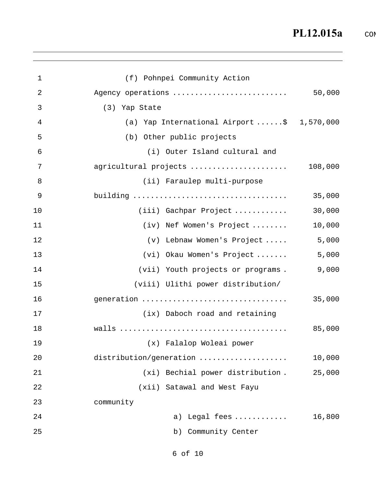| $\mathbf{1}$ | (f) Pohnpei Community Action                         |         |
|--------------|------------------------------------------------------|---------|
| 2            | Agency operations                                    | 50,000  |
| 3            | (3) Yap State                                        |         |
| 4            | (a) Yap International Airport $\dots$ : \$ 1,570,000 |         |
| 5            | (b) Other public projects                            |         |
| 6            | (i) Outer Island cultural and                        |         |
| 7            | agricultural projects                                | 108,000 |
| 8            | (ii) Faraulep multi-purpose                          |         |
| 9            |                                                      | 35,000  |
| 10           | (iii) Gachpar Project                                | 30,000  |
| 11           | (iv) Nef Women's Project                             | 10,000  |
| 12           | (v) Lebnaw Women's Project                           | 5,000   |
| 13           | (vi) Okau Women's Project                            | 5,000   |
| 14           | (vii) Youth projects or programs.                    | 9,000   |
| 15           | (viii) Ulithi power distribution/                    |         |
| 16           | generation                                           | 35,000  |
| 17           | (ix) Daboch road and retaining                       |         |
| 18           |                                                      | 85,000  |
| 19           | (x) Falalop Woleai power                             |         |
| 20           | distribution/generation                              | 10,000  |
| 21           | (xi) Bechial power distribution.                     | 25,000  |
| 22           | (xii) Satawal and West Fayu                          |         |
| 23           | community                                            |         |
| 24           | a) Legal fees                                        | 16,800  |
| 25           | b) Community Center                                  |         |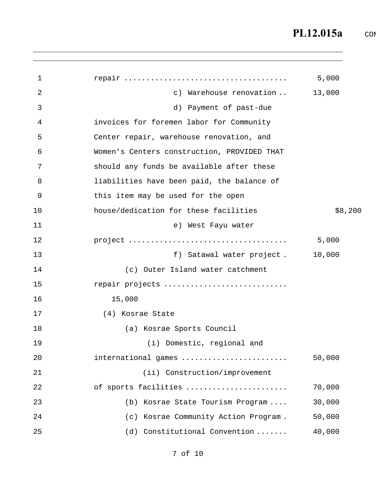| 1  |                                             | 5,000   |
|----|---------------------------------------------|---------|
| 2  | c) Warehouse renovation                     | 13,000  |
| 3  | d) Payment of past-due                      |         |
| 4  | invoices for foremen labor for Community    |         |
| 5  | Center repair, warehouse renovation, and    |         |
| 6  | Women's Centers construction, PROVIDED THAT |         |
| 7  | should any funds be available after these   |         |
| 8  | liabilities have been paid, the balance of  |         |
| 9  | this item may be used for the open          |         |
| 10 | house/dedication for these facilities       | \$8,200 |
| 11 | e) West Fayu water                          |         |
| 12 |                                             | 5,000   |
| 13 | f) Satawal water project.                   | 10,000  |
| 14 | (c) Outer Island water catchment            |         |
| 15 | repair projects                             |         |
| 16 | 15,000                                      |         |
| 17 | (4) Kosrae State                            |         |
| 18 | (a) Kosrae Sports Council                   |         |
| 19 | (i) Domestic, regional and                  |         |
| 20 | international games                         | 50,000  |
| 21 | (ii) Construction/improvement               |         |
| 22 | of sports facilities                        | 70,000  |
| 23 | (b) Kosrae State Tourism Program            | 30,000  |
| 24 | (c) Kosrae Community Action Program.        | 50,000  |
| 25 | (d) Constitutional Convention               | 40,000  |
|    |                                             |         |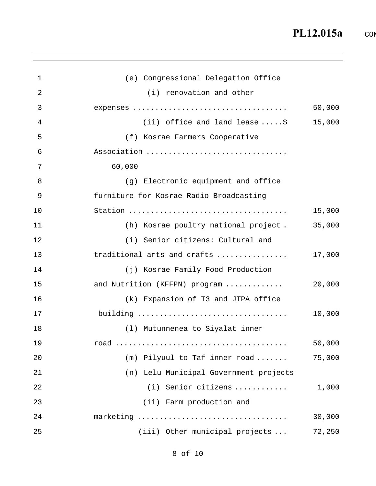| $\mathbf 1$ | (e) Congressional Delegation Office     |        |
|-------------|-----------------------------------------|--------|
| 2           | (i) renovation and other                |        |
| 3           |                                         | 50,000 |
| 4           | (ii) office and land lease $\ldots$ .\$ | 15,000 |
| 5           | (f) Kosrae Farmers Cooperative          |        |
| 6           | Association                             |        |
| 7           | 60,000                                  |        |
| 8           | (g) Electronic equipment and office     |        |
| 9           | furniture for Kosrae Radio Broadcasting |        |
| 10          |                                         | 15,000 |
| 11          | (h) Kosrae poultry national project.    | 35,000 |
| 12          | (i) Senior citizens: Cultural and       |        |
| 13          | traditional arts and crafts             | 17,000 |
| 14          | (j) Kosrae Family Food Production       |        |
| 15          | and Nutrition (KFFPN) program           | 20,000 |
| 16          | (k) Expansion of T3 and JTPA office     |        |
| 17          |                                         | 10,000 |
| 18          | (1) Mutunnenea to Siyalat inner         |        |
| 19          |                                         | 50,000 |
| 20          | (m) Pilyuul to Taf inner road           | 75,000 |
| 21          | (n) Lelu Municipal Government projects  |        |
| 22          | (i) Senior citizens                     | 1,000  |
| 23          | (ii) Farm production and                |        |
| 24          | marketing                               | 30,000 |
| 25          | (iii) Other municipal projects          | 72,250 |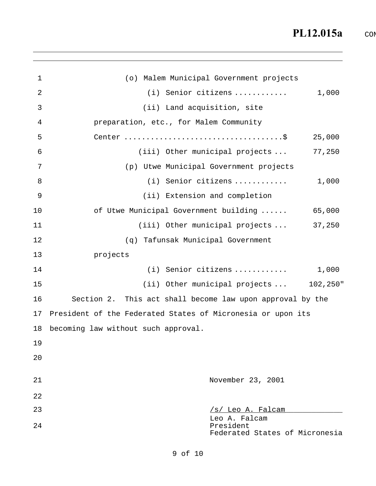1 2 3 4 5 6 7 8 9 10 11 12 13 14 15 16 17 18 19 20 21 22 (o) Malem Municipal Government projects (i) Senior citizens ............ 1,000 (ii) Land acquisition, site preparation, etc., for Malem Community Center ....................................\$ 25,000 (iii) Other municipal projects ... 77,250 (p) Utwe Municipal Government projects (i) Senior citizens ............ 1,000 (ii) Extension and completion of Utwe Municipal Government building ...... 65,000 (iii) Other municipal projects ... 37,250 (q) Tafunsak Municipal Government projects (i) Senior citizens ............ 1,000 (ii) Other municipal projects ... 102,250" Section 2. This act shall become law upon approval by the President of the Federated States of Micronesia or upon its becoming law without such approval. November 23, 2001 23 24  $/s/$  Leo A. Falcam Leo A. Falcam President Federated States of Micronesia